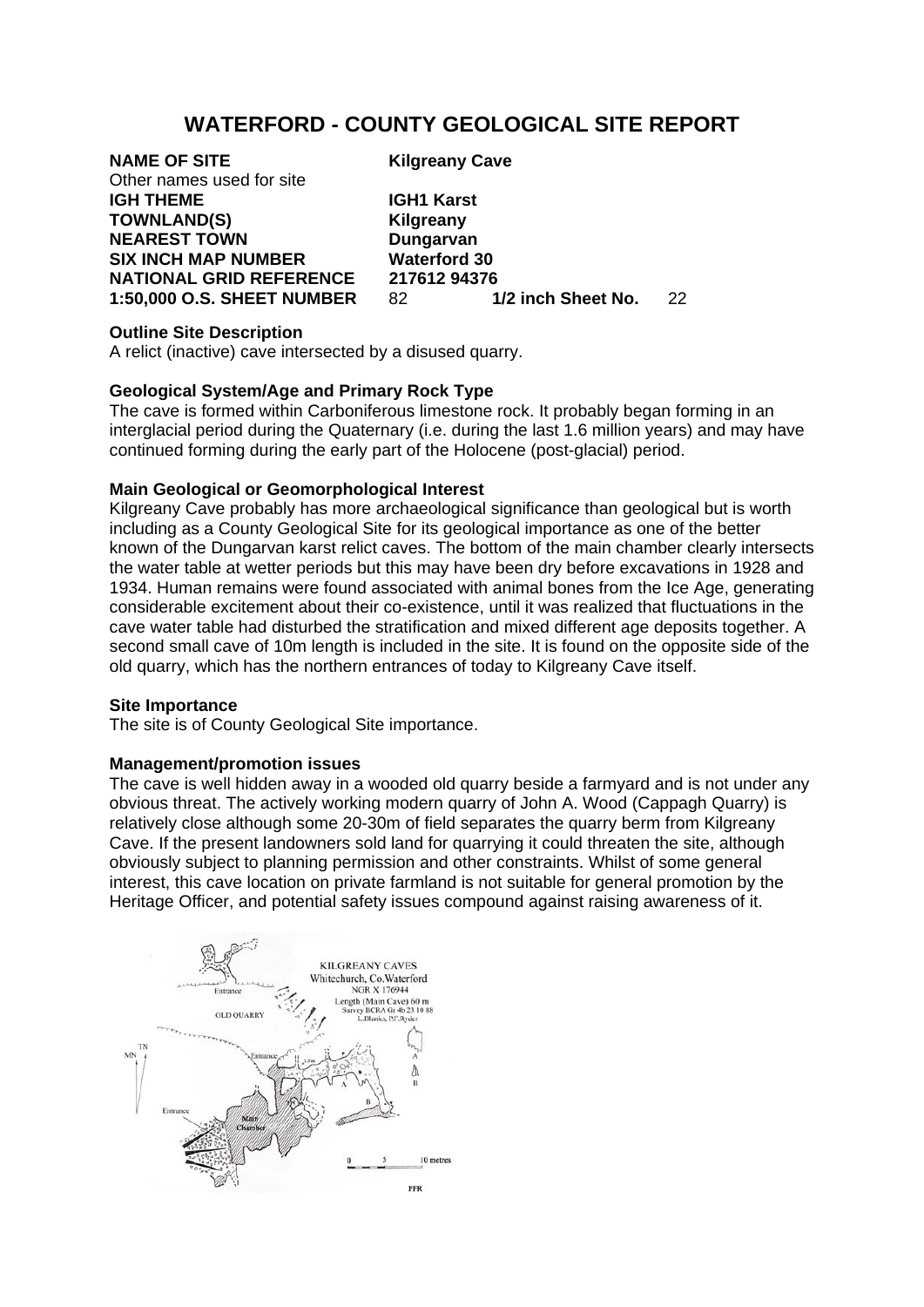# **WATERFORD - COUNTY GEOLOGICAL SITE REPORT**

# **NAME OF SITE Kilgreany Cave**

Other names used for site **IGH THEME IGH1 Karst TOWNLAND(S) Kilgreany NEAREST TOWN Dungarvan SIX INCH MAP NUMBER Waterford 30** 

**NATIONAL GRID REFERENCE 217612 94376<br>1:50.000 O.S. SHEET NUMBER 82 1/2 inch Sheet No. 1:50,000 O.S. SHEET NUMBER** 82 **1/2 inch Sheet No.** 22

#### **Outline Site Description**

A relict (inactive) cave intersected by a disused quarry.

# **Geological System/Age and Primary Rock Type**

The cave is formed within Carboniferous limestone rock. It probably began forming in an interglacial period during the Quaternary (i.e. during the last 1.6 million years) and may have continued forming during the early part of the Holocene (post-glacial) period.

# **Main Geological or Geomorphological Interest**

Kilgreany Cave probably has more archaeological significance than geological but is worth including as a County Geological Site for its geological importance as one of the better known of the Dungarvan karst relict caves. The bottom of the main chamber clearly intersects the water table at wetter periods but this may have been dry before excavations in 1928 and 1934. Human remains were found associated with animal bones from the Ice Age, generating considerable excitement about their co-existence, until it was realized that fluctuations in the cave water table had disturbed the stratification and mixed different age deposits together. A second small cave of 10m length is included in the site. It is found on the opposite side of the old quarry, which has the northern entrances of today to Kilgreany Cave itself.

# **Site Importance**

The site is of County Geological Site importance.

# **Management/promotion issues**

The cave is well hidden away in a wooded old quarry beside a farmyard and is not under any obvious threat. The actively working modern quarry of John A. Wood (Cappagh Quarry) is relatively close although some 20-30m of field separates the quarry berm from Kilgreany Cave. If the present landowners sold land for quarrying it could threaten the site, although obviously subject to planning permission and other constraints. Whilst of some general interest, this cave location on private farmland is not suitable for general promotion by the Heritage Officer, and potential safety issues compound against raising awareness of it.

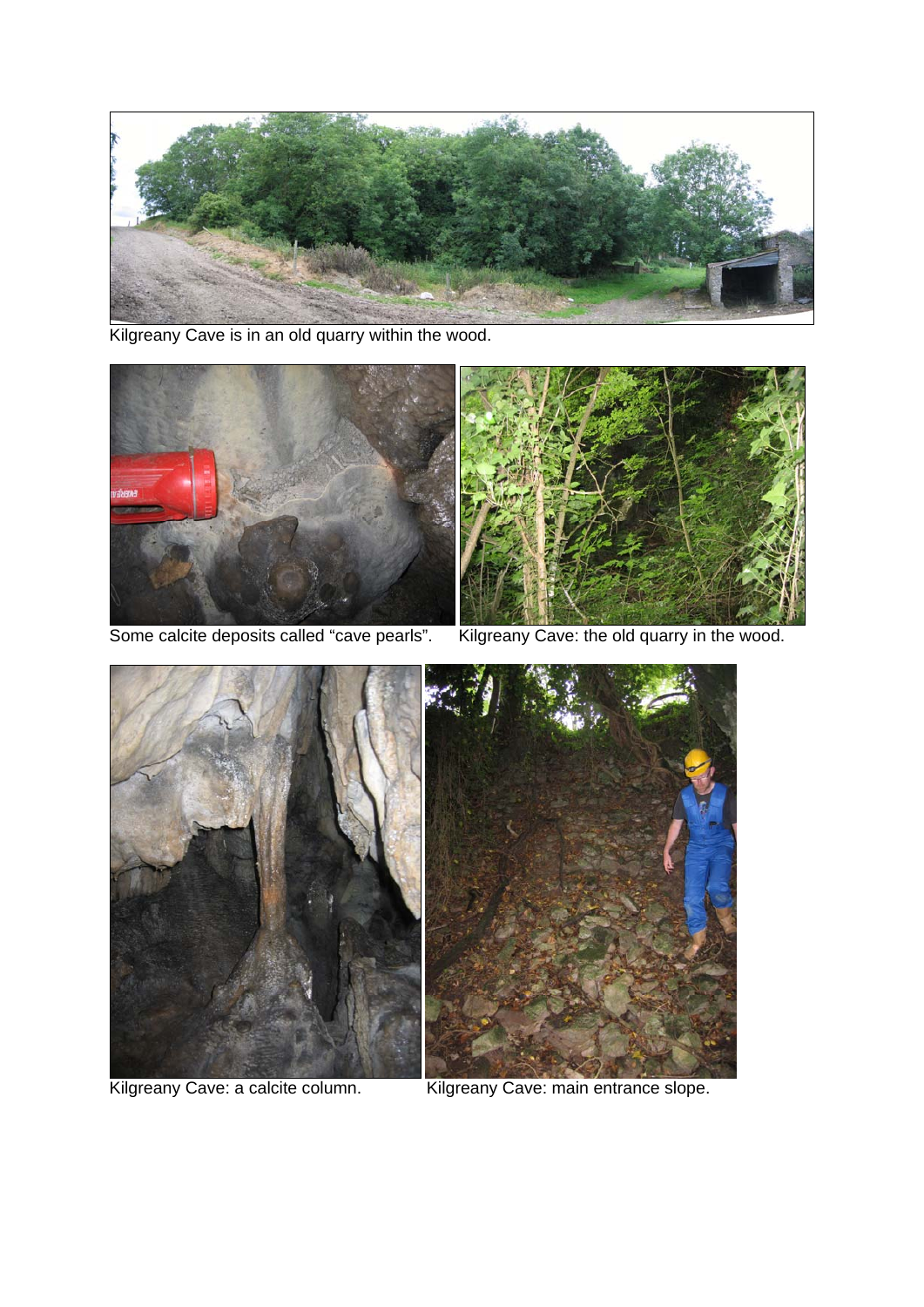

Kilgreany Cave is in an old quarry within the wood.





Kilgreany Cave: a calcite column. Kilgreany Cave: main entrance slope.